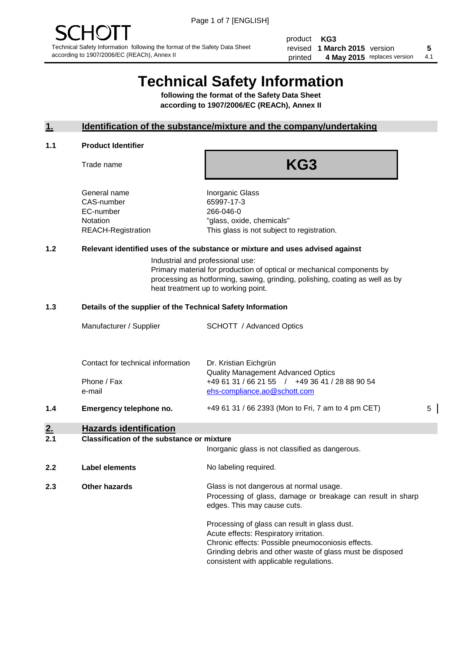product **KG3** revised **5 1 March 2015** version printed 4 May 2015 replaces version 4.1

# **Technical Safety Information**

**following the format of the Safety Data Sheet according to 1907/2006/EC (REACh), Annex II**

#### **1. Identification of the substance/mixture and the company/undertaking**

#### **1.1 Product Identifier**

Trade name

# **KG3**

General name **Inorganic Glass** CAS-number 65997-17-3 EC-number 266-046-0

Notation "glass, oxide, chemicals" REACH-Registration This glass is not subject to registration.

#### **1.2 Relevant identified uses of the substance or mixture and uses advised against**

Industrial and professional use: Primary material for production of optical or mechanical components by processing as hotforming, sawing, grinding, polishing, coating as well as by heat treatment up to working point.

#### **1.3 Details of the supplier of the Technical Safety Information**

|     | Manufacturer / Supplier                                    | <b>SCHOTT</b> / Advanced Optics                                                                                                                      |   |
|-----|------------------------------------------------------------|------------------------------------------------------------------------------------------------------------------------------------------------------|---|
|     | Contact for technical information<br>Phone / Fax<br>e-mail | Dr. Kristian Eichgrün<br><b>Quality Management Advanced Optics</b><br>+49 61 31 / 66 21 55 / +49 36 41 / 28 88 90 54<br>ehs-compliance.ao@schott.com |   |
| 1.4 | Emergency telephone no.                                    | +49 61 31 / 66 2393 (Mon to Fri, 7 am to 4 pm CET)                                                                                                   | 5 |
| 2.  | <b>Hazards identification</b>                              |                                                                                                                                                      |   |

#### **2.1 Classification of the substance or mixture**

| <u>.</u> | oldssinganon of the substance of imature | Inorganic glass is not classified as dangerous.                                                                                                                                                                                                      |
|----------|------------------------------------------|------------------------------------------------------------------------------------------------------------------------------------------------------------------------------------------------------------------------------------------------------|
| 2.2      | Label elements                           | No labeling required.                                                                                                                                                                                                                                |
| 2.3      | <b>Other hazards</b>                     | Glass is not dangerous at normal usage.<br>Processing of glass, damage or breakage can result in sharp<br>edges. This may cause cuts.                                                                                                                |
|          |                                          | Processing of glass can result in glass dust.<br>Acute effects: Respiratory irritation.<br>Chronic effects: Possible pneumoconiosis effects.<br>Grinding debris and other waste of glass must be disposed<br>consistent with applicable regulations. |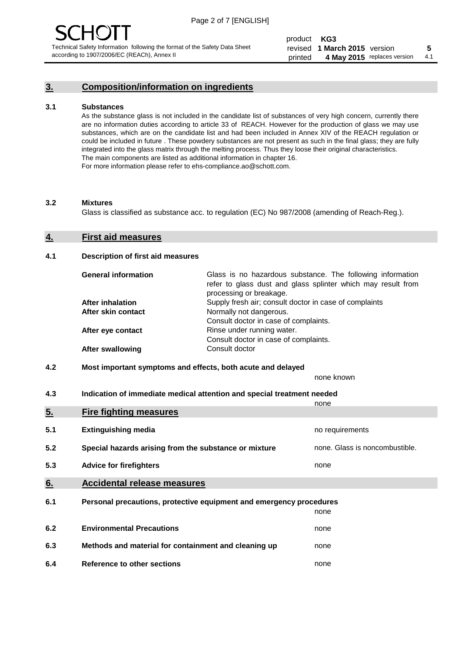#### **3. Composition/information on ingredients**

#### **3.1 Substances**

As the substance glass is not included in the candidate list of substances of very high concern, currently there are no information duties according to article 33 of REACH. However for the production of glass we may use substances, which are on the candidate list and had been included in Annex XIV of the REACH regulation or could be included in future . These powdery substances are not present as such in the final glass; they are fully integrated into the glass matrix through the melting process. Thus they loose their original characteristics. The main components are listed as additional information in chapter 16. For more information please refer to ehs-compliance.ao@schott.com.

#### **3.2 Mixtures**

Glass is classified as substance acc. to regulation (EC) No 987/2008 (amending of Reach-Reg.).

#### **4. First aid measures**

#### **4.1 Description of first aid measures**

| <b>General information</b> | Glass is no hazardous substance. The following information<br>refer to glass dust and glass splinter which may result from<br>processing or breakage. |
|----------------------------|-------------------------------------------------------------------------------------------------------------------------------------------------------|
| <b>After inhalation</b>    | Supply fresh air; consult doctor in case of complaints                                                                                                |
| After skin contact         | Normally not dangerous.                                                                                                                               |
|                            | Consult doctor in case of complaints.                                                                                                                 |
| After eye contact          | Rinse under running water.                                                                                                                            |
|                            | Consult doctor in case of complaints.                                                                                                                 |
| <b>After swallowing</b>    | Consult doctor                                                                                                                                        |

#### **4.2 Most important symptoms and effects, both acute and delayed**

none known

**4.3 Indication of immediate medical attention and special treatment needed** 

|     |                                                                     | none                           |
|-----|---------------------------------------------------------------------|--------------------------------|
| 5.  | <b>Fire fighting measures</b>                                       |                                |
| 5.1 | <b>Extinguishing media</b>                                          | no requirements                |
| 5.2 | Special hazards arising from the substance or mixture               | none. Glass is noncombustible. |
| 5.3 | <b>Advice for firefighters</b>                                      | none                           |
| 6.  | <b>Accidental release measures</b>                                  |                                |
| 6.1 | Personal precautions, protective equipment and emergency procedures |                                |
|     |                                                                     | none                           |
| 6.2 | <b>Environmental Precautions</b>                                    | none                           |
| 6.3 | Methods and material for containment and cleaning up                | none                           |
| 6.4 | Reference to other sections                                         | none                           |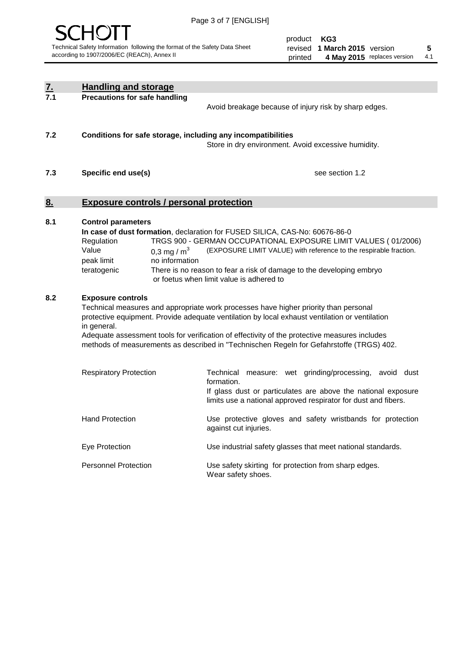

product **KG3** revised **5 1 March 2015** version printed 4 May 2015 replaces version 4.1

| $\underline{7}$ . | <b>Handling and storage</b>                                                                                                                                                                                                                                                                                                                                                                                                    |                                                                                                                                                                                                                                                                                                                                        |  |
|-------------------|--------------------------------------------------------------------------------------------------------------------------------------------------------------------------------------------------------------------------------------------------------------------------------------------------------------------------------------------------------------------------------------------------------------------------------|----------------------------------------------------------------------------------------------------------------------------------------------------------------------------------------------------------------------------------------------------------------------------------------------------------------------------------------|--|
| 7.1               | <b>Precautions for safe handling</b>                                                                                                                                                                                                                                                                                                                                                                                           | Avoid breakage because of injury risk by sharp edges.                                                                                                                                                                                                                                                                                  |  |
| 7.2               | Conditions for safe storage, including any incompatibilities                                                                                                                                                                                                                                                                                                                                                                   | Store in dry environment. Avoid excessive humidity.                                                                                                                                                                                                                                                                                    |  |
| 7.3               | Specific end use(s)                                                                                                                                                                                                                                                                                                                                                                                                            | see section 1.2                                                                                                                                                                                                                                                                                                                        |  |
| 8.                | <b>Exposure controls / personal protection</b>                                                                                                                                                                                                                                                                                                                                                                                 |                                                                                                                                                                                                                                                                                                                                        |  |
| 8.1               | <b>Control parameters</b><br>Regulation<br>Value<br>0.3 mg / $m^3$<br>no information<br>peak limit<br>teratogenic                                                                                                                                                                                                                                                                                                              | In case of dust formation, declaration for FUSED SILICA, CAS-No: 60676-86-0<br>TRGS 900 - GERMAN OCCUPATIONAL EXPOSURE LIMIT VALUES (01/2006)<br>(EXPOSURE LIMIT VALUE) with reference to the respirable fraction.<br>There is no reason to fear a risk of damage to the developing embryo<br>or foetus when limit value is adhered to |  |
| 8.2               | <b>Exposure controls</b><br>Technical measures and appropriate work processes have higher priority than personal<br>protective equipment. Provide adequate ventilation by local exhaust ventilation or ventilation<br>in general.<br>Adequate assessment tools for verification of effectivity of the protective measures includes<br>methods of measurements as described in "Technischen Regeln for Gefahrstoffe (TRGS) 402. |                                                                                                                                                                                                                                                                                                                                        |  |
|                   | <b>Respiratory Protection</b>                                                                                                                                                                                                                                                                                                                                                                                                  | Technical<br>measure: wet grinding/processing, avoid dust<br>formation.<br>If glass dust or particulates are above the national exposure<br>limits use a national approved respirator for dust and fibers.                                                                                                                             |  |
|                   | <b>Hand Protection</b>                                                                                                                                                                                                                                                                                                                                                                                                         | Use protective gloves and safety wristbands for protection<br>against cut injuries.                                                                                                                                                                                                                                                    |  |
|                   | Eye Protection                                                                                                                                                                                                                                                                                                                                                                                                                 | Use industrial safety glasses that meet national standards.                                                                                                                                                                                                                                                                            |  |
|                   | <b>Personnel Protection</b>                                                                                                                                                                                                                                                                                                                                                                                                    | Use safety skirting for protection from sharp edges.<br>Wear safety shoes.                                                                                                                                                                                                                                                             |  |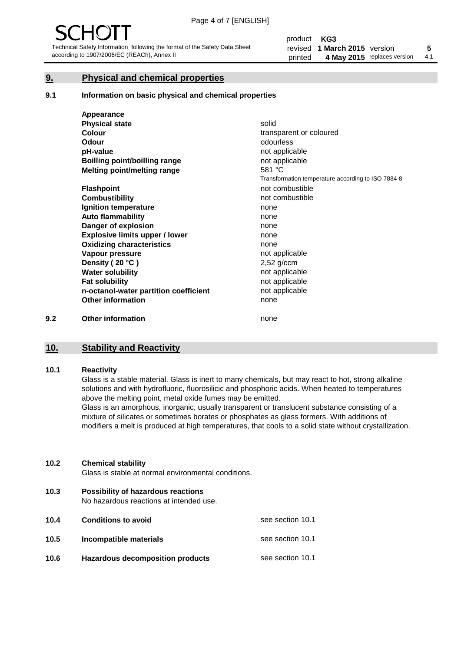#### **9. Physical and chemical properties**

#### **9.1 Information on basic physical and chemical properties**

|     | Appearance                            |                                                    |
|-----|---------------------------------------|----------------------------------------------------|
|     | <b>Physical state</b>                 | solid                                              |
|     | <b>Colour</b>                         | transparent or coloured                            |
|     | <b>Odour</b>                          | odourless                                          |
|     | pH-value                              | not applicable                                     |
|     | Boilling point/boilling range         | not applicable                                     |
|     | Melting point/melting range           | 581 °C                                             |
|     |                                       | Transformation temperature according to ISO 7884-8 |
|     | <b>Flashpoint</b>                     | not combustible                                    |
|     | <b>Combustibility</b>                 | not combustible                                    |
|     | Ignition temperature                  | none                                               |
|     | <b>Auto flammability</b>              | none                                               |
|     | Danger of explosion                   | none                                               |
|     | <b>Explosive limits upper / lower</b> | none                                               |
|     | <b>Oxidizing characteristics</b>      | none                                               |
|     | Vapour pressure                       | not applicable                                     |
|     | Density (20 °C)                       | $2,52$ g/ccm                                       |
|     | <b>Water solubility</b>               | not applicable                                     |
|     | <b>Fat solubility</b>                 | not applicable                                     |
|     | n-octanol-water partition coefficient | not applicable                                     |
|     | <b>Other information</b>              | none                                               |
| 9.2 | <b>Other information</b>              | none                                               |

## **10. Stability and Reactivity**

#### **10.1 Reactivity**

Glass is a stable material. Glass is inert to many chemicals, but may react to hot, strong alkaline solutions and with hydrofluoric, fluorosilicic and phosphoric acids. When heated to temperatures above the melting point, metal oxide fumes may be emitted.

Glass is an amorphous, inorganic, usually transparent or translucent substance consisting of a mixture of silicates or sometimes borates or phosphates as glass formers. With additions of modifiers a melt is produced at high temperatures, that cools to a solid state without crystallization.

#### **10.2 Chemical stability**

Glass is stable at normal environmental conditions.

**10.3 Possibility of hazardous reactions** 

No hazardous reactions at intended use.

| 10.4 | <b>Conditions to avoid</b>              | see section 10.1 |
|------|-----------------------------------------|------------------|
| 10.5 | Incompatible materials                  | see section 10.1 |
| 10.6 | <b>Hazardous decomposition products</b> | see section 10.1 |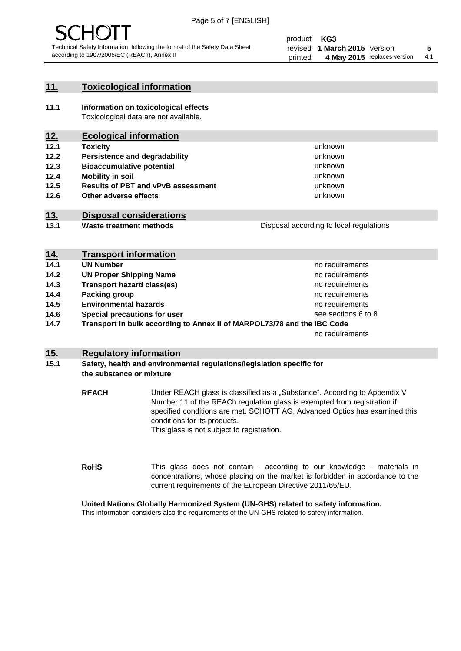

unknown unknown unknown unknown

unknown unknown

Disposal according to local regulations

#### **11. Toxicological information**

**11.1 Information on toxicological effects** Toxicological data are not available.

### **12. Ecological information**

- **12.1 Toxicity**
- **12.2 Persistence and degradability**
- **12.3 Bioaccumulative potential**
- **12.4 Mobility in soil**
- **12.5 Results of PBT and vPvB assessment**
- **12.6 Other adverse effects**

#### **13. Disposal considerations**

**13.1 Waste treatment methods**

| <b>Propocal aboording to local regulations</b> |
|------------------------------------------------|
|                                                |
|                                                |
|                                                |

| <u>14.</u> | <b>Transport information</b>                                            |                     |
|------------|-------------------------------------------------------------------------|---------------------|
| 14.1       | <b>UN Number</b>                                                        | no requirements     |
| 14.2       | <b>UN Proper Shipping Name</b>                                          | no requirements     |
| 14.3       | <b>Transport hazard class(es)</b>                                       | no requirements     |
| 14.4       | Packing group                                                           | no requirements     |
| 14.5       | <b>Environmental hazards</b>                                            | no requirements     |
| 14.6       | Special precautions for user                                            | see sections 6 to 8 |
| 14.7       | Transport in bulk according to Annex II of MARPOL73/78 and the IBC Code |                     |
|            |                                                                         | no requirements     |

#### **15. Regulatory information**

#### **15.1 Safety, health and environmental regulations/legislation specific for the substance or mixture**

**REACH** Under REACH glass is classified as a "Substance". According to Appendix V Number 11 of the REACh regulation glass is exempted from registration if specified conditions are met. SCHOTT AG, Advanced Optics has examined this conditions for its products. This glass is not subject to registration.

**RoHS** This glass does not contain - according to our knowledge - materials in concentrations, whose placing on the market is forbidden in accordance to the current requirements of the European Directive 2011/65/EU.

#### **United Nations Globally Harmonized System (UN-GHS) related to safety information.**

This information considers also the requirements of the UN-GHS related to safety information.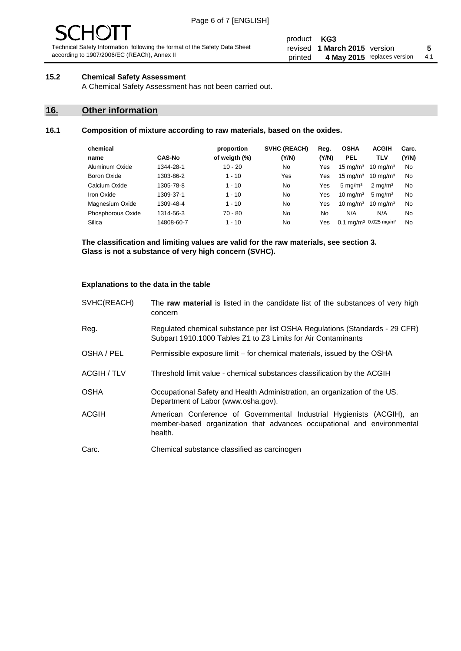# - JF

Technical Safety Information following the format of the Safety Data Sheet according to 1907/2006/EC (REACh), Annex II

#### **15.2 Chemical Safety Assessment**

A Chemical Safety Assessment has not been carried out.

### **16. Other information**

#### **16.1 Composition of mixture according to raw materials, based on the oxides.**

| chemical          |               | proportion    | <b>SVHC (REACH)</b> | Reg.  | <b>OSHA</b>         | <b>ACGIH</b>                                 | Carc. |
|-------------------|---------------|---------------|---------------------|-------|---------------------|----------------------------------------------|-------|
| name              | <b>CAS-No</b> | of weigth (%) | (Y/N)               | (Y/N) | <b>PEL</b>          | <b>TLV</b>                                   | (Y/N) |
| Aluminum Oxide    | 1344-28-1     | $10 - 20$     | No                  | Yes   | $15 \text{ mg/m}^3$ | $10 \text{ mg/m}^3$                          | No    |
| Boron Oxide       | 1303-86-2     | $1 - 10$      | Yes                 | Yes   | $15 \text{ mg/m}^3$ | $10 \text{ mg/m}^3$                          | No    |
| Calcium Oxide     | 1305-78-8     | $1 - 10$      | No                  | Yes   | $5 \text{ mg/m}^3$  | $2 \text{ mg/m}^3$                           | No    |
| Iron Oxide        | 1309-37-1     | $1 - 10$      | No                  | Yes   | $10 \text{ mg/m}^3$ | $5 \text{ mg/m}^3$                           | No    |
| Magnesium Oxide   | 1309-48-4     | $1 - 10$      | No                  | Yes   | $10 \text{ mg/m}^3$ | $10 \text{ mg/m}^3$                          | No    |
| Phosphorous Oxide | 1314-56-3     | 70 - 80       | No                  | No    | N/A                 | N/A                                          | No    |
| Silica            | 14808-60-7    | $1 - 10$      | No                  | Yes   |                     | $0.1 \text{ mg/m}^3$ 0.025 mg/m <sup>3</sup> | No    |

**The classification and limiting values are valid for the raw materials, see section 3. Glass is not a substance of very high concern (SVHC).**

#### **Explanations to the data in the table**

| SVHC(REACH)        | The raw material is listed in the candidate list of the substances of very high<br>concern                                                                 |
|--------------------|------------------------------------------------------------------------------------------------------------------------------------------------------------|
| Reg.               | Regulated chemical substance per list OSHA Regulations (Standards - 29 CFR)<br>Subpart 1910.1000 Tables Z1 to Z3 Limits for Air Contaminants               |
| OSHA / PEL         | Permissible exposure limit – for chemical materials, issued by the OSHA                                                                                    |
| <b>ACGIH / TLV</b> | Threshold limit value - chemical substances classification by the ACGIH                                                                                    |
| <b>OSHA</b>        | Occupational Safety and Health Administration, an organization of the US.<br>Department of Labor (www.osha.gov).                                           |
| <b>ACGIH</b>       | American Conference of Governmental Industrial Hygienists (ACGIH), an<br>member-based organization that advances occupational and environmental<br>health. |
| Carc.              | Chemical substance classified as carcinogen                                                                                                                |